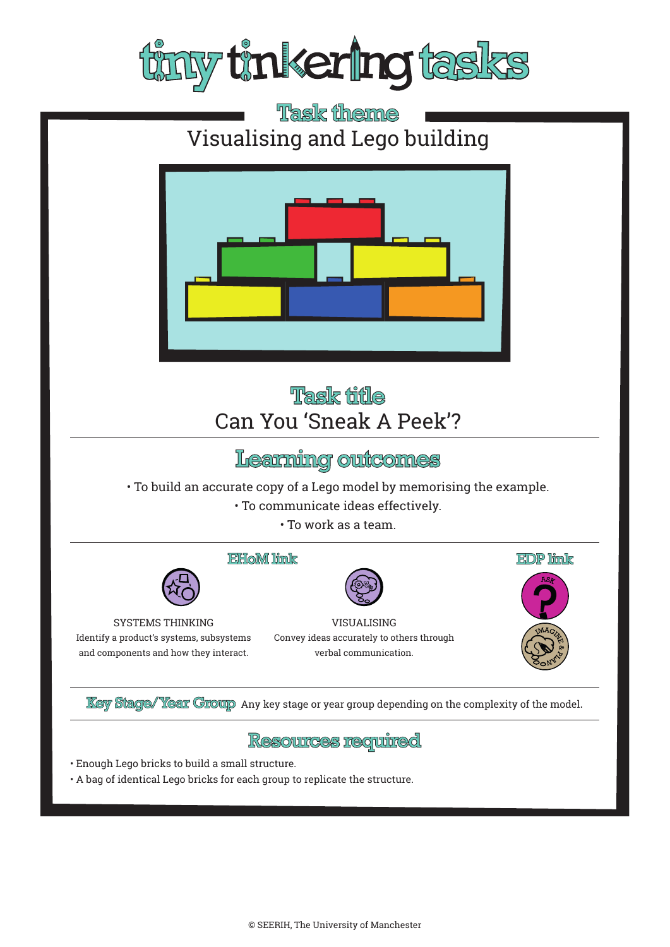

# Task theme Visualising and Lego building



## Task title Can You 'Sneak A Peek'?

## Learning outcomes

• To build an accurate copy of a Lego model by memorising the example.

• To communicate ideas effectively.

• To work as a team.





SYSTEMS THINKING Identify a product's systems, subsystems and components and how they interact.

**EDP** link

VISUALISING Convey ideas accurately to others through verbal communication.

**Key Stage/Year Group** Any key stage or year group depending on the complexity of the model.

#### <u>Resources required</u>

- Enough Lego bricks to build a small structure.
- A bag of identical Lego bricks for each group to replicate the structure.